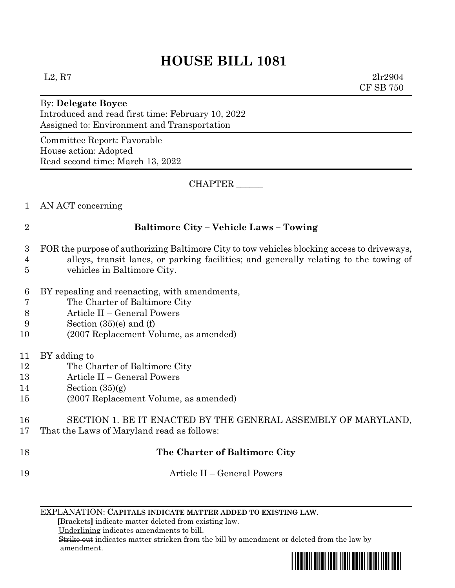# **HOUSE BILL 1081**

 $L2, R7$  2lr2904 CF SB 750

#### By: **Delegate Boyce** Introduced and read first time: February 10, 2022 Assigned to: Environment and Transportation

Committee Report: Favorable House action: Adopted Read second time: March 13, 2022

CHAPTER \_\_\_\_\_\_

#### 1 AN ACT concerning

### 2 **Baltimore City – Vehicle Laws – Towing**

- 3 FOR the purpose of authorizing Baltimore City to tow vehicles blocking access to driveways,
- 4 alleys, transit lanes, or parking facilities; and generally relating to the towing of 5 vehicles in Baltimore City.
- 6 BY repealing and reenacting, with amendments,
- 7 The Charter of Baltimore City
- 8 Article II General Powers
- 9 Section (35)(e) and (f)
- 10 (2007 Replacement Volume, as amended)
- 11 BY adding to
- 12 The Charter of Baltimore City
- 13 Article II General Powers
- 14 Section (35)(g)
- 15 (2007 Replacement Volume, as amended)
- 16 SECTION 1. BE IT ENACTED BY THE GENERAL ASSEMBLY OF MARYLAND, 17 That the Laws of Maryland read as follows:

## 18 **The Charter of Baltimore City**

- 19 Article II General Powers
	- EXPLANATION: **CAPITALS INDICATE MATTER ADDED TO EXISTING LAW**.

 **[**Brackets**]** indicate matter deleted from existing law.

Underlining indicates amendments to bill.

 Strike out indicates matter stricken from the bill by amendment or deleted from the law by amendment.